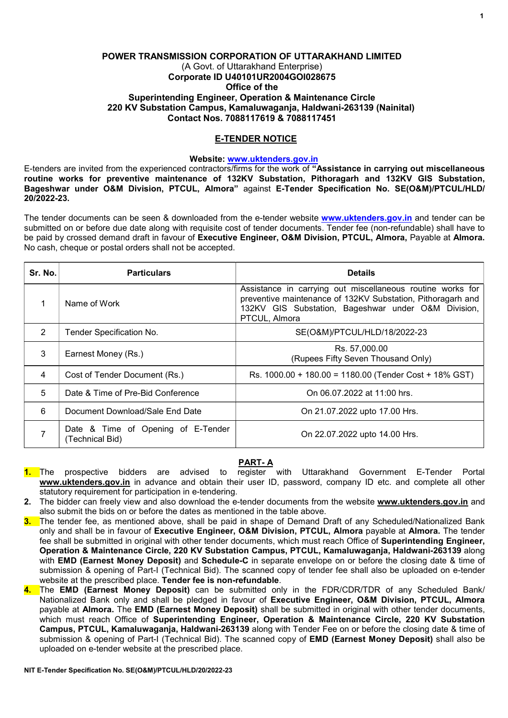# POWER TRANSMISSION CORPORATION OF UTTARAKHAND LIMITED (A Govt. of Uttarakhand Enterprise) Corporate ID U40101UR2004GOI028675 Office of the Superintending Engineer, Operation & Maintenance Circle 220 KV Substation Campus, Kamaluwaganja, Haldwani-263139 (Nainital) Contact Nos. 7088117619 & 7088117451

### E-TENDER NOTICE

### Website: www.uktenders.gov.in

E-tenders are invited from the experienced contractors/firms for the work of "Assistance in carrying out miscellaneous routine works for preventive maintenance of 132KV Substation, Pithoragarh and 132KV GIS Substation, Bageshwar under O&M Division, PTCUL, Almora" against E-Tender Specification No. SE(O&M)/PTCUL/HLD/ 20/2022-23.

The tender documents can be seen & downloaded from the e-tender website www.uktenders.gov.in and tender can be submitted on or before due date along with requisite cost of tender documents. Tender fee (non-refundable) shall have to be paid by crossed demand draft in favour of Executive Engineer, O&M Division, PTCUL, Almora, Payable at Almora. No cash, cheque or postal orders shall not be accepted.

| Sr. No. | <b>Particulars</b>                                    | <b>Details</b>                                                                                                                                                                                    |
|---------|-------------------------------------------------------|---------------------------------------------------------------------------------------------------------------------------------------------------------------------------------------------------|
|         | Name of Work                                          | Assistance in carrying out miscellaneous routine works for<br>preventive maintenance of 132KV Substation, Pithoragarh and<br>132KV GIS Substation, Bageshwar under O&M Division,<br>PTCUL, Almora |
| 2       | Tender Specification No.                              | SE(O&M)/PTCUL/HLD/18/2022-23                                                                                                                                                                      |
| 3       | Earnest Money (Rs.)                                   | Rs. 57,000.00<br>(Rupees Fifty Seven Thousand Only)                                                                                                                                               |
| 4       | Cost of Tender Document (Rs.)                         | Rs. 1000.00 + 180.00 = 1180.00 (Tender Cost + 18% GST)                                                                                                                                            |
| 5       | Date & Time of Pre-Bid Conference                     | On 06.07.2022 at 11:00 hrs.                                                                                                                                                                       |
| 6       | Document Download/Sale End Date                       | On 21.07.2022 upto 17.00 Hrs.                                                                                                                                                                     |
|         | Date & Time of Opening of E-Tender<br>(Technical Bid) | On 22.07.2022 upto 14.00 Hrs.                                                                                                                                                                     |

#### PART- A

- 1. The prospective bidders are advised to register with Uttarakhand Government E-Tender Portal www.uktenders.gov.in in advance and obtain their user ID, password, company ID etc. and complete all other statutory requirement for participation in e-tendering.
- 2. The bidder can freely view and also download the e-tender documents from the website www.uktenders.gov.in and also submit the bids on or before the dates as mentioned in the table above.
- 3. The tender fee, as mentioned above, shall be paid in shape of Demand Draft of any Scheduled/Nationalized Bank only and shall be in favour of Executive Engineer, O&M Division, PTCUL, Almora payable at Almora. The tender fee shall be submitted in original with other tender documents, which must reach Office of **Superintending Engineer,** Operation & Maintenance Circle, 220 KV Substation Campus, PTCUL, Kamaluwaganja, Haldwani-263139 along with **EMD (Earnest Money Deposit)** and **Schedule-C** in separate envelope on or before the closing date & time of submission & opening of Part-I (Technical Bid). The scanned copy of tender fee shall also be uploaded on e-tender website at the prescribed place. Tender fee is non-refundable.
- 4. The EMD (Earnest Money Deposit) can be submitted only in the FDR/CDR/TDR of any Scheduled Bank/ Nationalized Bank only and shall be pledged in favour of Executive Engineer, O&M Division, PTCUL, Almora payable at Almora. The EMD (Earnest Money Deposit) shall be submitted in original with other tender documents, which must reach Office of Superintending Engineer, Operation & Maintenance Circle, 220 KV Substation Campus, PTCUL, Kamaluwaganja, Haldwani-263139 along with Tender Fee on or before the closing date & time of submission & opening of Part-I (Technical Bid). The scanned copy of **EMD (Earnest Money Deposit)** shall also be uploaded on e-tender website at the prescribed place.

1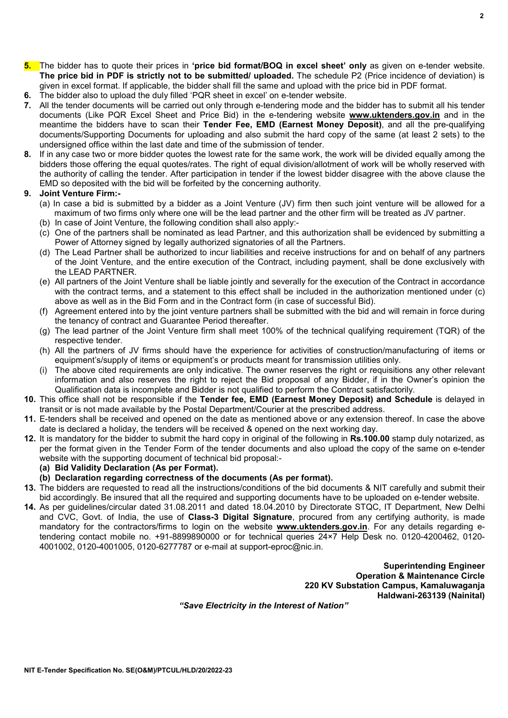- 5. The bidder has to quote their prices in 'price bid format/BOQ in excel sheet' only as given on e-tender website. The price bid in PDF is strictly not to be submitted/ uploaded. The schedule P2 (Price incidence of deviation) is given in excel format. If applicable, the bidder shall fill the same and upload with the price bid in PDF format.
- 6. The bidder also to upload the duly filled 'PQR sheet in excel' on e-tender website.
- 7. All the tender documents will be carried out only through e-tendering mode and the bidder has to submit all his tender documents (Like PQR Excel Sheet and Price Bid) in the e-tendering website www.uktenders.gov.in and in the meantime the bidders have to scan their Tender Fee, EMD (Earnest Money Deposit), and all the pre-qualifying documents/Supporting Documents for uploading and also submit the hard copy of the same (at least 2 sets) to the undersigned office within the last date and time of the submission of tender.
- 8. If in any case two or more bidder quotes the lowest rate for the same work, the work will be divided equally among the bidders those offering the equal quotes/rates. The right of equal division/allotment of work will be wholly reserved with the authority of calling the tender. After participation in tender if the lowest bidder disagree with the above clause the EMD so deposited with the bid will be forfeited by the concerning authority.

#### 9. Joint Venture Firm:-

- (a) In case a bid is submitted by a bidder as a Joint Venture (JV) firm then such joint venture will be allowed for a maximum of two firms only where one will be the lead partner and the other firm will be treated as JV partner.
- (b) In case of Joint Venture, the following condition shall also apply:-
- (c) One of the partners shall be nominated as lead Partner, and this authorization shall be evidenced by submitting a Power of Attorney signed by legally authorized signatories of all the Partners.
- (d) The Lead Partner shall be authorized to incur liabilities and receive instructions for and on behalf of any partners of the Joint Venture, and the entire execution of the Contract, including payment, shall be done exclusively with the LEAD PARTNER.
- (e) All partners of the Joint Venture shall be liable jointly and severally for the execution of the Contract in accordance with the contract terms, and a statement to this effect shall be included in the authorization mentioned under (c) above as well as in the Bid Form and in the Contract form (in case of successful Bid).
- (f) Agreement entered into by the joint venture partners shall be submitted with the bid and will remain in force during the tenancy of contract and Guarantee Period thereafter.
- (g) The lead partner of the Joint Venture firm shall meet 100% of the technical qualifying requirement (TQR) of the respective tender.
- (h) All the partners of JV firms should have the experience for activities of construction/manufacturing of items or equipment's/supply of items or equipment's or products meant for transmission utilities only.
- (i) The above cited requirements are only indicative. The owner reserves the right or requisitions any other relevant information and also reserves the right to reject the Bid proposal of any Bidder, if in the Owner's opinion the Qualification data is incomplete and Bidder is not qualified to perform the Contract satisfactorily.
- 10. This office shall not be responsible if the Tender fee, EMD (Earnest Money Deposit) and Schedule is delayed in transit or is not made available by the Postal Department/Courier at the prescribed address.
- 11. E-tenders shall be received and opened on the date as mentioned above or any extension thereof. In case the above date is declared a holiday, the tenders will be received & opened on the next working day.
- 12. It is mandatory for the bidder to submit the hard copy in original of the following in Rs.100.00 stamp duly notarized, as per the format given in the Tender Form of the tender documents and also upload the copy of the same on e-tender website with the supporting document of technical bid proposal:-

#### (a) Bid Validity Declaration (As per Format).

- (b) Declaration regarding correctness of the documents (As per format).
- 13. The bidders are requested to read all the instructions/conditions of the bid documents & NIT carefully and submit their bid accordingly. Be insured that all the required and supporting documents have to be uploaded on e-tender website.
- 14. As per guidelines/circular dated 31.08.2011 and dated 18.04.2010 by Directorate STQC, IT Department, New Delhi and CVC, Govt. of India, the use of **Class-3 Digital Signature**, procured from any certifying authority, is made mandatory for the contractors/firms to login on the website www.uktenders.gov.in. For any details regarding etendering contact mobile no. +91-8899890000 or for technical queries 24×7 Help Desk no. 0120-4200462, 0120- 4001002, 0120-4001005, 0120-6277787 or e-mail at support-eproc@nic.in.

Superintending Engineer Operation & Maintenance Circle 220 KV Substation Campus, Kamaluwaganja Haldwani-263139 (Nainital)

"Save Electricity in the Interest of Nation"